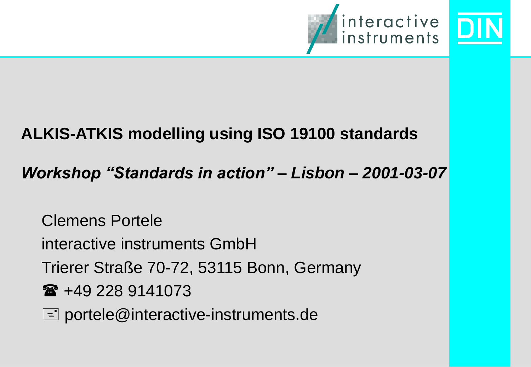

#### **ALKIS-ATKIS modelling using ISO 19100 standards**

#### *Workshop "Standards in action" – Lisbon – 2001-03-07*

Clemens Portele

interactive instruments GmbH

Trierer Straße 70-72, 53115 Bonn, Germany

 $\hat{=}$  +49 228 9141073

 $\equiv$  portele@interactive-instruments.de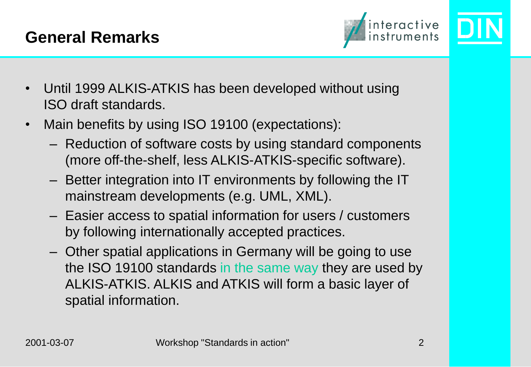

- Until 1999 ALKIS-ATKIS has been developed without using ISO draft standards.
- Main benefits by using ISO 19100 (expectations):
	- Reduction of software costs by using standard components (more off-the-shelf, less ALKIS-ATKIS-specific software).
	- Better integration into IT environments by following the IT mainstream developments (e.g. UML, XML).
	- Easier access to spatial information for users / customers by following internationally accepted practices.
	- Other spatial applications in Germany will be going to use the ISO 19100 standards in the same way they are used by ALKIS-ATKIS. ALKIS and ATKIS will form a basic layer of spatial information.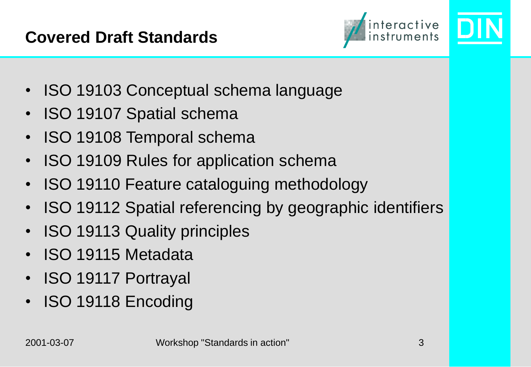

- ISO 19103 Conceptual schema language
- ISO 19107 Spatial schema
- ISO 19108 Temporal schema
- ISO 19109 Rules for application schema
- ISO 19110 Feature cataloguing methodology
- ISO 19112 Spatial referencing by geographic identifiers
- ISO 19113 Quality principles
- ISO 19115 Metadata
- ISO 19117 Portrayal
- ISO 19118 Encoding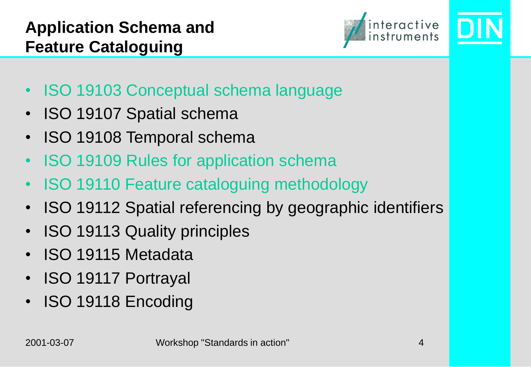

- ISO 19103 Conceptual schema language
- ISO 19107 Spatial schema
- ISO 19108 Temporal schema
- ISO 19109 Rules for application schema
- ISO 19110 Feature cataloguing methodology
- ISO 19112 Spatial referencing by geographic identifiers
- ISO 19113 Quality principles
- ISO 19115 Metadata
- ISO 19117 Portrayal
- ISO 19118 Encoding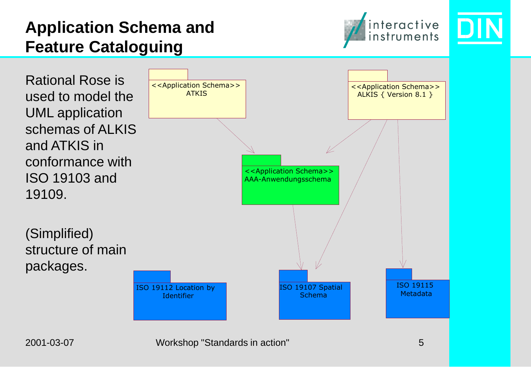

Rational Rose is used to model the UML application schemas of ALKIS and ATKIS in conformance with ISO 19103 and 19109.

(Simplified) structure of main packages.

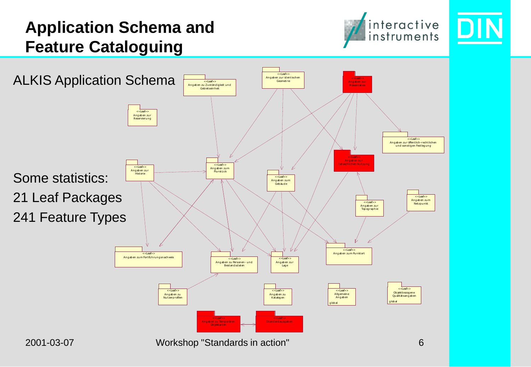

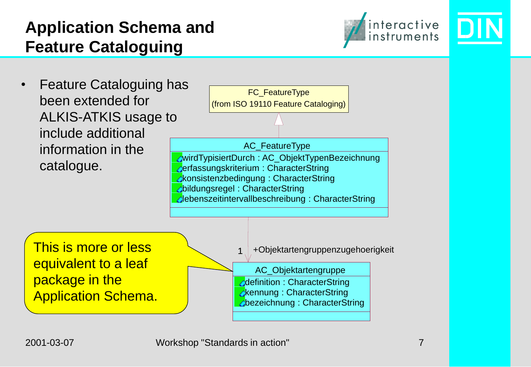

• Feature Cataloguing has been extended for ALKIS-ATKIS usage to include additional information in the catalogue.



**bezeichnung : CharacterString** 

This is more or less equivalent to a leaf package in the Application Schema.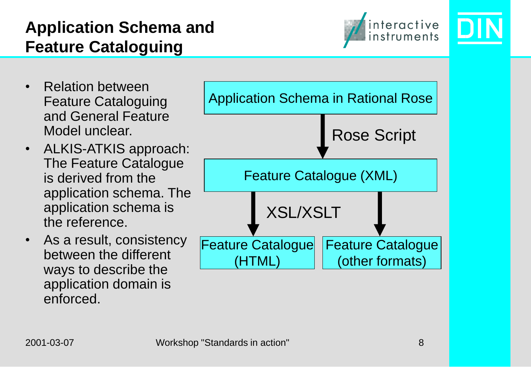

- Relation between Feature Cataloguing and General Feature Model unclear.
- ALKIS-ATKIS approach: The Feature Catalogue is derived from the application schema. The application schema is the reference.
- As a result, consistency between the different ways to describe the application domain is enforced.

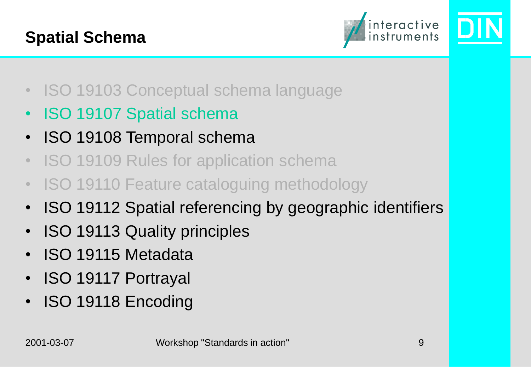

- ISO 19103 Conceptual schema language
- ISO 19107 Spatial schema
- ISO 19108 Temporal schema
- ISO 19109 Rules for application schema
- ISO 19110 Feature cataloguing methodology
- ISO 19112 Spatial referencing by geographic identifiers
- ISO 19113 Quality principles
- ISO 19115 Metadata
- ISO 19117 Portrayal
- ISO 19118 Encoding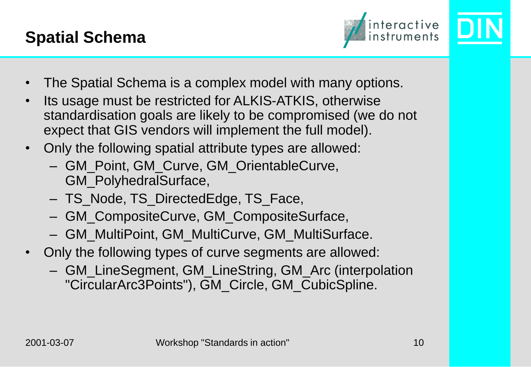

- The Spatial Schema is a complex model with many options.
- Its usage must be restricted for ALKIS-ATKIS, otherwise standardisation goals are likely to be compromised (we do not expect that GIS vendors will implement the full model).
- Only the following spatial attribute types are allowed:
	- GM\_Point, GM\_Curve, GM\_OrientableCurve, GM\_PolyhedralSurface,
	- TS\_Node, TS\_DirectedEdge, TS\_Face,
	- GM\_CompositeCurve, GM\_CompositeSurface,
	- GM\_MultiPoint, GM\_MultiCurve, GM\_MultiSurface.
- Only the following types of curve segments are allowed:
	- GM\_LineSegment, GM\_LineString, GM\_Arc (interpolation "CircularArc3Points"), GM\_Circle, GM\_CubicSpline.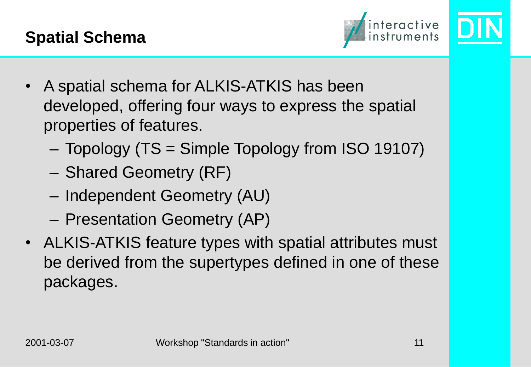

- A spatial schema for ALKIS-ATKIS has been developed, offering four ways to express the spatial properties of features.
	- Topology (TS = Simple Topology from ISO 19107)
	- Shared Geometry (RF)
	- Independent Geometry (AU)
	- Presentation Geometry (AP)
- ALKIS-ATKIS feature types with spatial attributes must be derived from the supertypes defined in one of these packages.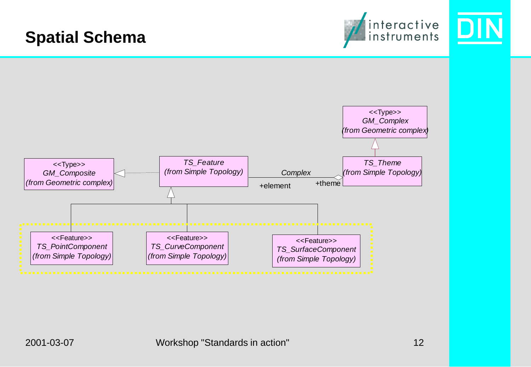#### interactive<br>instruments **Spatial Schema** <<Type>> *GM\_Complex (from Geometric complex) TS\_Feature TS\_Theme* <<Type>> *(from Simple Topology) (from Simple Topology) GM\_Composite Complex(from Geometric complex)* +element +theme <<Feature>> <<Feature>> <<Feature>> *TS\_PointComponent TS\_CurveComponent TS\_SurfaceComponent (from Simple Topology) (from Simple Topology) (from Simple Topology)*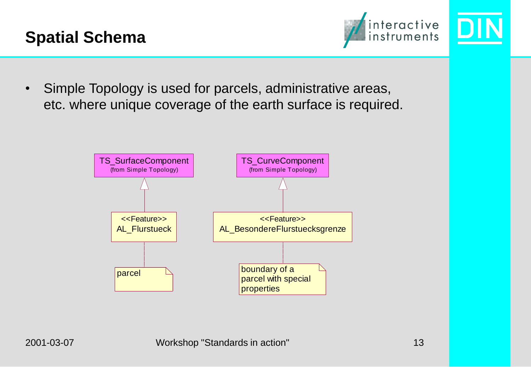



• Simple Topology is used for parcels, administrative areas, etc. where unique coverage of the earth surface is required.

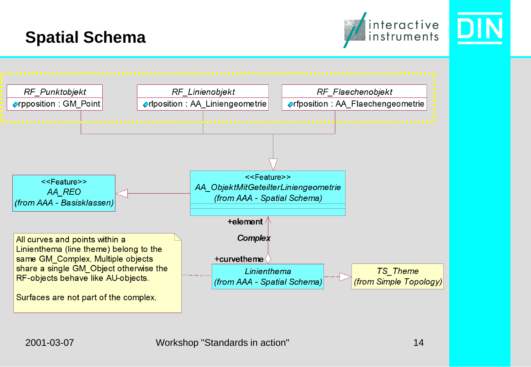

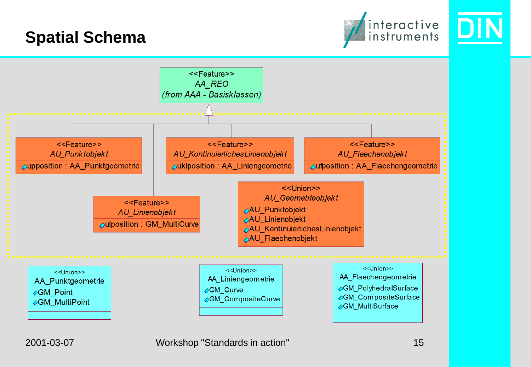



2001-03-07 Workshop "Standards in action" 15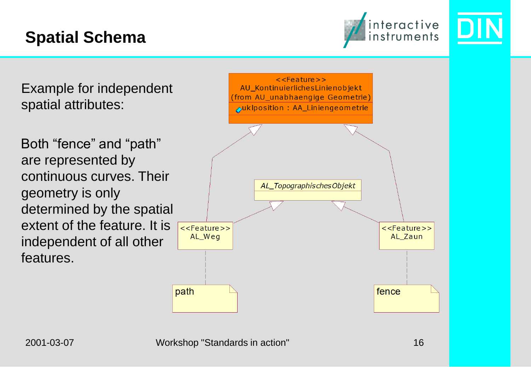

Example for independent spatial attributes:

Both "fence" and "path" are represented by continuous curves. Their geometry is only determined by the spatial extent of the feature. It is independent of all other features.

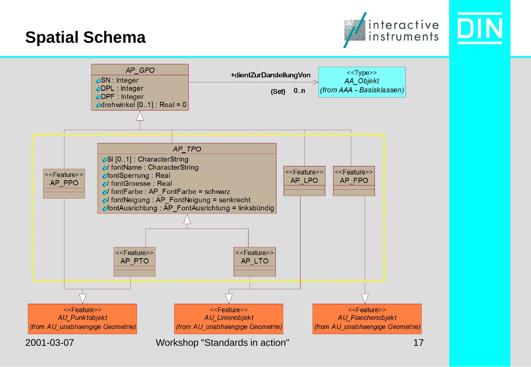

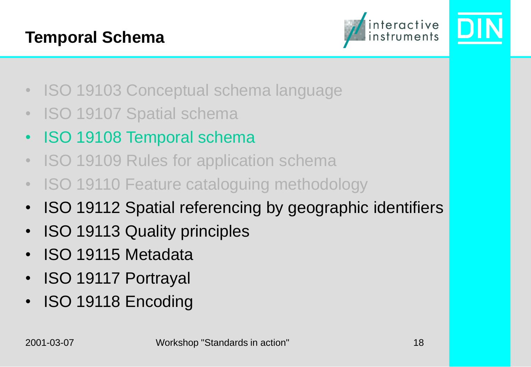#### **Temporal Schema**



- ISO 19103 Conceptual schema language
- ISO 19107 Spatial schema
- ISO 19108 Temporal schema
- ISO 19109 Rules for application schema
- ISO 19110 Feature cataloguing methodology
- ISO 19112 Spatial referencing by geographic identifiers
- ISO 19113 Quality principles
- ISO 19115 Metadata
- ISO 19117 Portrayal
- ISO 19118 Encoding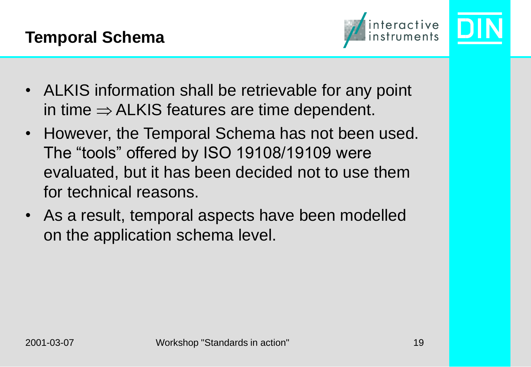

- ALKIS information shall be retrievable for any point in time  $\Rightarrow$  ALKIS features are time dependent.
- However, the Temporal Schema has not been used. The "tools" offered by ISO 19108/19109 were evaluated, but it has been decided not to use them for technical reasons.
- As a result, temporal aspects have been modelled on the application schema level.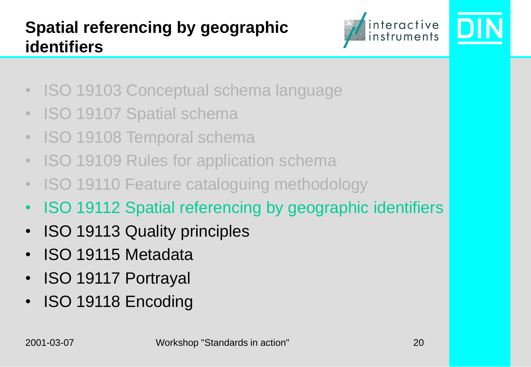

- ISO 19103 Conceptual schema language
- ISO 19107 Spatial schema
- ISO 19108 Temporal schema
- ISO 19109 Rules for application schema
- ISO 19110 Feature cataloguing methodology
- ISO 19112 Spatial referencing by geographic identifiers
- ISO 19113 Quality principles
- ISO 19115 Metadata
- ISO 19117 Portrayal
- ISO 19118 Encoding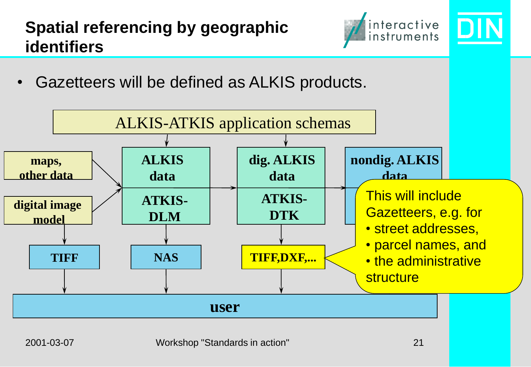## **Spatial referencing by geographic identifiers**



• Gazetteers will be defined as ALKIS products.

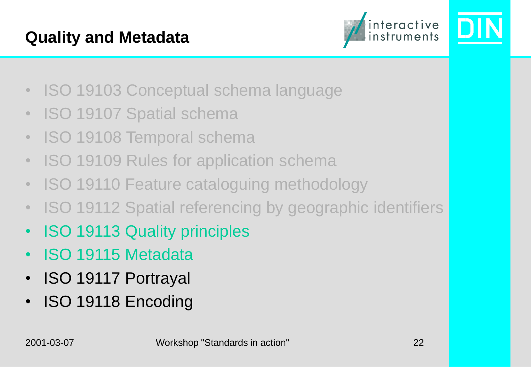#### **Quality and Metadata**



- ISO 19103 Conceptual schema language
- ISO 19107 Spatial schema
- ISO 19108 Temporal schema
- ISO 19109 Rules for application schema
- ISO 19110 Feature cataloguing methodology
- ISO 19112 Spatial referencing by geographic identifiers
- ISO 19113 Quality principles
- ISO 19115 Metadata
- ISO 19117 Portrayal
- ISO 19118 Encoding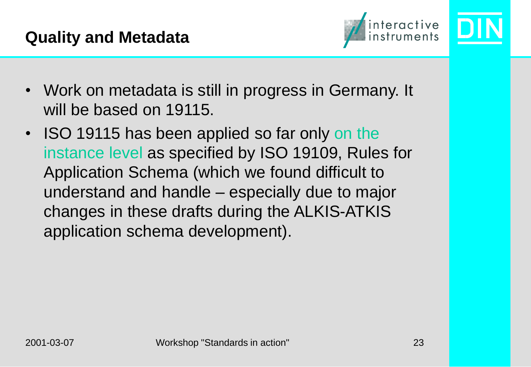

- Work on metadata is still in progress in Germany. It will be based on 19115.
- ISO 19115 has been applied so far only on the instance level as specified by ISO 19109, Rules for Application Schema (which we found difficult to understand and handle – especially due to major changes in these drafts during the ALKIS-ATKIS application schema development).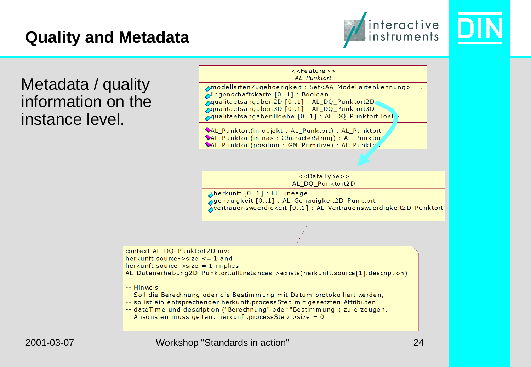#### **Quality and Metadata**





Metadata / quality information on the instance level.

 $<<$ Feature>> AL Punktort AmodellartenZugehoerigkeit: Set<AA\_Modellartenkennung> =... Liegenschaftskarte [0..1]: Boolean Aqualitaetsangaben2D [0..1] : AL\_DQ\_Punktort2D Aqualitaetsangaben3D [0..1] : AL\_DQ\_Punktort3D AqualitaetsangabenHoehe [0..1] : AL DQ PunktortHoel ? NAL\_Punktort(in objekt: AL\_Punktort): AL\_Punktort NAL Punktort(in nas: CharacterString): AL Punktort

AL Punktort(position: GM Primitive): AL Punkte

 $<<$ DataType>> AL\_DQ\_Punktort2D

herkunft [0..1] : LI\_Lineage Sgenauigkeit [0..1]: AL\_Genauigkeit2D\_Punktort vertrauenswuerdigkeit [0..1] : AL\_Vertrauenswuerdigkeit2D\_Punktort

context AL\_DQ\_Punktort2D inv:

herkunft.source- $>$ size  $\leq$  1 and

 $herkuntl.source \rightarrow size = 1$  implies

AL Datenerhebung2D Punktort.allInstances->exists(herkunft.source[1].description)

-- Hinweis:

-- Soll die Berechnung oder die Bestimmung mit Datum protokolliert werden,

-- so ist ein entsprechender herkunft.processStep mit gesetzten Attributen

-- dateTime und description ("Berechnung" oder "Bestimmung") zu erzeugen.

-- Ansonsten muss gelten: herkunft.processStep->size = 0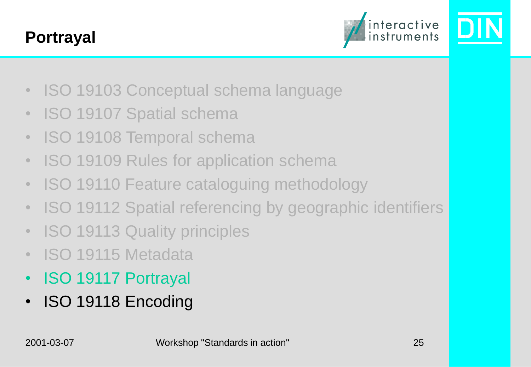#### **Portrayal**



- ISO 19103 Conceptual schema language
- ISO 19107 Spatial schema
- ISO 19108 Temporal schema
- ISO 19109 Rules for application schema
- ISO 19110 Feature cataloguing methodology
- ISO 19112 Spatial referencing by geographic identifiers
- ISO 19113 Quality principles
- ISO 19115 Metadata
- ISO 19117 Portrayal
- ISO 19118 Encoding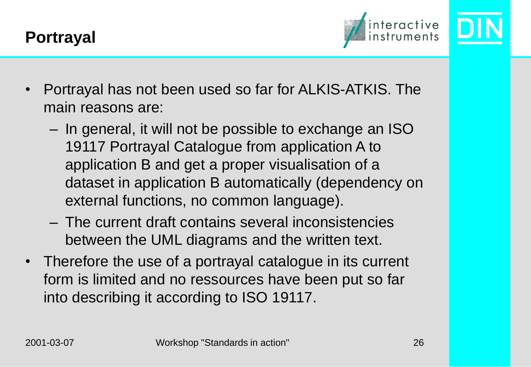

- Portrayal has not been used so far for ALKIS-ATKIS. The main reasons are:
	- In general, it will not be possible to exchange an ISO 19117 Portrayal Catalogue from application A to application B and get a proper visualisation of a dataset in application B automatically (dependency on external functions, no common language).
	- The current draft contains several inconsistencies between the UML diagrams and the written text.
- Therefore the use of a portrayal catalogue in its current form is limited and no ressources have been put so far into describing it according to ISO 19117.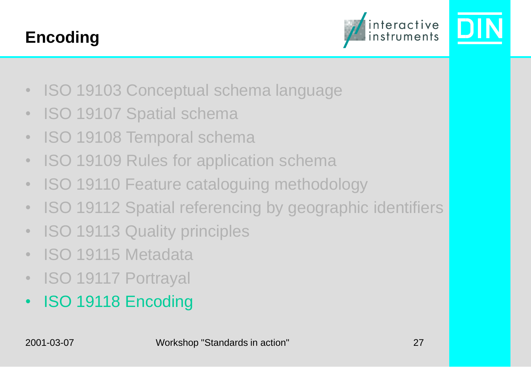#### **Encoding**



- ISO 19103 Conceptual schema language
- ISO 19107 Spatial schema
- ISO 19108 Temporal schema
- ISO 19109 Rules for application schema
- ISO 19110 Feature cataloguing methodology
- ISO 19112 Spatial referencing by geographic identifiers
- ISO 19113 Quality principles
- ISO 19115 Metadata
- ISO 19117 Portrayal
- ISO 19118 Encoding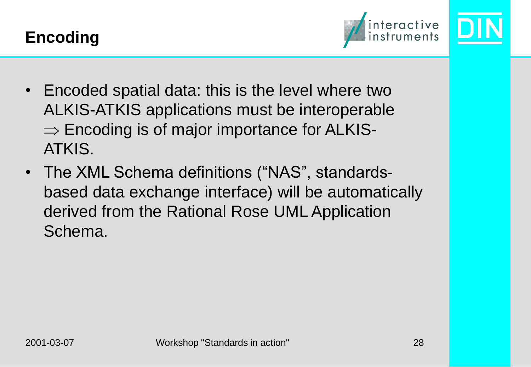



- Encoded spatial data: this is the level where two ALKIS-ATKIS applications must be interoperable  $\Rightarrow$  Encoding is of major importance for ALKIS-ATKIS.
- The XML Schema definitions ("NAS", standardsbased data exchange interface) will be automatically derived from the Rational Rose UML Application Schema.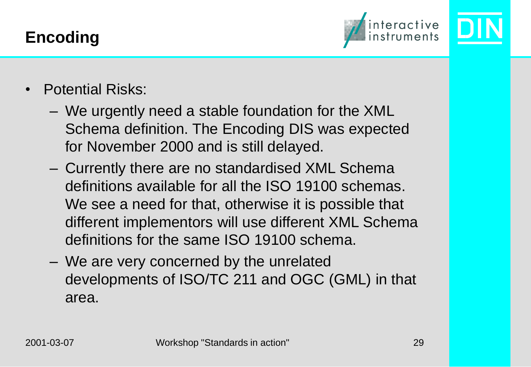



- Potential Risks:
	- We urgently need a stable foundation for the XML Schema definition. The Encoding DIS was expected for November 2000 and is still delayed.
	- Currently there are no standardised XML Schema definitions available for all the ISO 19100 schemas. We see a need for that, otherwise it is possible that different implementors will use different XML Schema definitions for the same ISO 19100 schema.
	- We are very concerned by the unrelated developments of ISO/TC 211 and OGC (GML) in that area.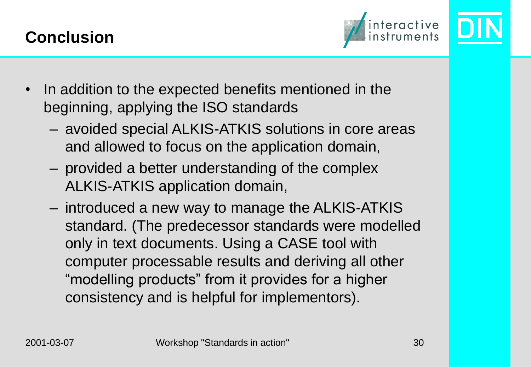



- In addition to the expected benefits mentioned in the beginning, applying the ISO standards
	- avoided special ALKIS-ATKIS solutions in core areas and allowed to focus on the application domain,
	- provided a better understanding of the complex ALKIS-ATKIS application domain,
	- introduced a new way to manage the ALKIS-ATKIS standard. (The predecessor standards were modelled only in text documents. Using a CASE tool with computer processable results and deriving all other "modelling products" from it provides for a higher consistency and is helpful for implementors).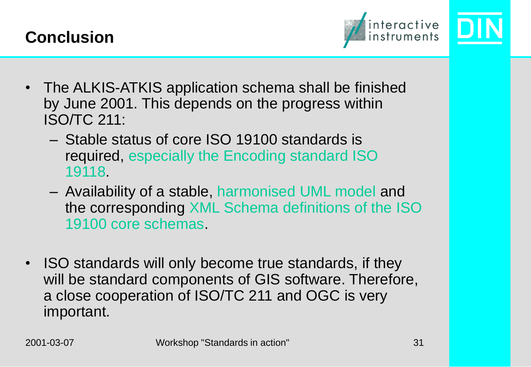



- The ALKIS-ATKIS application schema shall be finished by June 2001. This depends on the progress within ISO/TC 211:
	- Stable status of core ISO 19100 standards is required, especially the Encoding standard ISO 19118.
	- Availability of a stable, harmonised UML model and the corresponding XML Schema definitions of the ISO 19100 core schemas.
- ISO standards will only become true standards, if they will be standard components of GIS software. Therefore, a close cooperation of ISO/TC 211 and OGC is very important.